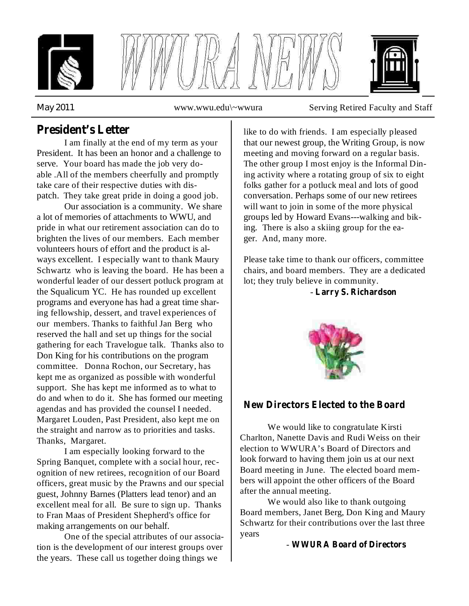





*May* 2011 www.wwu.edu\~wwura Serving Retired Faculty and Staff

## **President's Letter**

I am finally at the end of my term as your President. It has been an honor and a challenge to serve. Your board has made the job very doable .All of the members cheerfully and promptly take care of their respective duties with dispatch. They take great pride in doing a good job.

Our association is a community. We share a lot of memories of attachments to WWU, and pride in what our retirement association can do to brighten the lives of our members. Each member volunteers hours of effort and the product is always excellent. I especially want to thank Maury Schwartz who is leaving the board. He has been a wonderful leader of our dessert potluck program at the Squalicum YC. He has rounded up excellent programs and everyone has had a great time sharing fellowship, dessert, and travel experiences of our members. Thanks to faithful Jan Berg who reserved the hall and set up things for the social gathering for each Travelogue talk. Thanks also to Don King for his contributions on the program committee. Donna Rochon, our Secretary, has kept me as organized as possible with wonderful support. She has kept me informed as to what to do and when to do it. She has formed our meeting agendas and has provided the counsel I needed. Margaret Louden, Past President, also kept me on the straight and narrow as to priorities and tasks. Thanks, Margaret.

I am especially looking forward to the Spring Banquet, complete with a social hour, recognition of new retirees, recognition of our Board officers, great music by the Prawns and our special guest, Johnny Barnes (Platters lead tenor) and an excellent meal for all. Be sure to sign up. Thanks to Fran Maas of President Shepherd's office for making arrangements on our behalf.

One of the special attributes of our association is the development of our interest groups over the years. These call us together doing things we

like to do with friends. I am especially pleased that our newest group, the Writing Group, is now meeting and moving forward on a regular basis. The other group I most enjoy is the Informal Dining activity where a rotating group of six to eight folks gather for a potluck meal and lots of good conversation. Perhaps some of our new retirees will want to join in some of the more physical groups led by Howard Evans---walking and biking. There is also a skiing group for the eager. And, many more.

Please take time to thank our officers, committee chairs, and board members. They are a dedicated lot; they truly believe in community.

- **Larry S. Richardson**



### **New Directors Elected to the Board**

We would like to congratulate Kirsti Charlton, Nanette Davis and Rudi Weiss on their election to WWURA's Board of Directors and look forward to having them join us at our next Board meeting in June. The elected board members will appoint the other officers of the Board after the annual meeting.

We would also like to thank outgoing Board members, Janet Berg, Don King and Maury Schwartz for their contributions over the last three years

- **WWURA Board of Directors**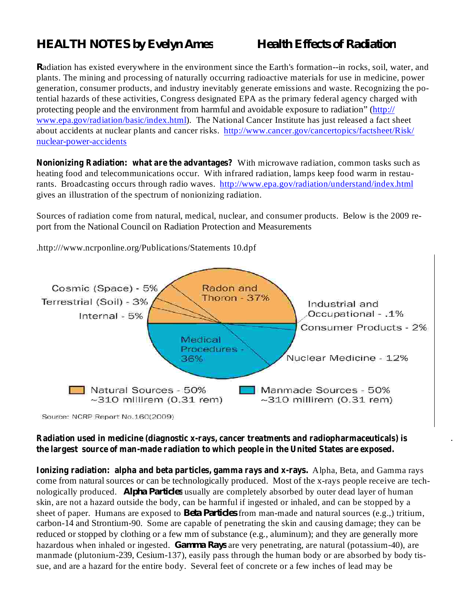# *HEALTH NOTES by Evelyn Ames Health Effects of Radiation*

.

*R* adiation has existed everywhere in the environment since the Earth's formation--in rocks, soil, water, and plants. The mining and processing of naturally occurring radioactive materials for use in medicine, power generation, consumer products, and industry inevitably generate emissions and waste. Recognizing the potential hazards of these activities, Congress designated EPA as the primary federal agency charged with protecting people and the environment from harmful and avoidable exposure to radiation" (http:// www.epa.gov/radiation/basic/index.html). The National Cancer Institute has just released a fact sheet about accidents at nuclear plants and cancer risks. http://www.cancer.gov/cancertopics/factsheet/Risk/ nuclear-power-accidents

**Nonionizing Radiation: what are the advantages?** With microwave radiation, common tasks such as heating food and telecommunications occur. With infrared radiation, lamps keep food warm in restaurants. Broadcasting occurs through radio waves. http://www.epa.gov/radiation/understand/index.html gives an illustration of the spectrum of nonionizing radiation.

Sources of radiation come from natural, medical, nuclear, and consumer products. Below is the 2009 report from the National Council on Radiation Protection and Measurements



.http:///www.ncrponline.org/Publications/Statements 10.dpf

**Radiation used in medicine (diagnostic x-rays, cancer treatments and radiopharmaceuticals) is the largest source of man-made radiation to which people in the United States are exposed.**

nologically produced. *Alpha Particles* usually are completely absorbed by outer dead layer of human sheet of paper. Humans are exposed to *Beta Particles* from man-made and natural sources (e.g.,) tritium, hazardous when inhaled or ingested. *Gamma Rays* are very penetrating, are natural (potassium-40), are **Ionizing radiation: alpha and beta particles, gamma rays and x-rays. Alpha, Beta, and Gamma rays** come from natural sources or can be technologically produced. Most of the x-rays people receive are techskin, are not a hazard outside the body, can be harmful if ingested or inhaled, and can be stopped by a carbon-14 and Strontium-90. Some are capable of penetrating the skin and causing damage; they can be reduced or stopped by clothing or a few mm of substance (e.g., aluminum); and they are generally more manmade (plutonium-239, Cesium-137), easily pass through the human body or are absorbed by body tissue, and are a hazard for the entire body. Several feet of concrete or a few inches of lead may be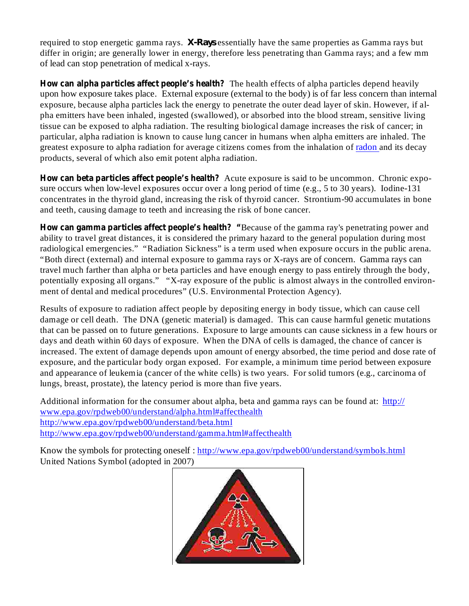required to stop energetic gamma rays. X-Rays essentially have the same properties as Gamma rays but differ in origin; are generally lower in energy, therefore less penetrating than Gamma rays; and a few mm of lead can stop penetration of medical x-rays.

How can alpha particles affect people's health? The health effects of alpha particles depend heavily upon how exposure takes place. External exposure (external to the body) is of far less concern than internal exposure, because alpha particles lack the energy to penetrate the outer dead layer of skin. However, if alpha emitters have been inhaled, ingested (swallowed), or absorbed into the blood stream, sensitive living tissue can be exposed to alpha radiation. The resulting biological damage increases the risk of cancer; in particular, alpha radiation is known to cause lung cancer in humans when alpha emitters are inhaled. The greatest exposure to alpha radiation for average citizens comes from the inhalation of radon and its decay products, several of which also emit potent alpha radiation.

How can beta particles affect people's health? Acute exposure is said to be uncommon. Chronic exposure occurs when low-level exposures occur over a long period of time (e.g., 5 to 30 years). Iodine-131 concentrates in the thyroid gland, increasing the risk of thyroid cancer. Strontium-90 accumulates in bone and teeth, causing damage to teeth and increasing the risk of bone cancer.

How can gamma particles affect people's health? "Because of the gamma ray's penetrating power and ability to travel great distances, it is considered the primary hazard to the general population during most radiological emergencies." "Radiation Sickness" is a term used when exposure occurs in the public arena. "Both direct (external) and internal exposure to gamma rays or X-rays are of concern. Gamma rays can travel much farther than alpha or beta particles and have enough energy to pass entirely through the body, potentially exposing all organs." "X-ray exposure of the public is almost always in the controlled environment of dental and medical procedures" (U.S. Environmental Protection Agency).

Results of exposure to radiation affect people by depositing energy in body tissue, which can cause cell damage or cell death. The DNA (genetic material) is damaged. This can cause harmful genetic mutations that can be passed on to future generations. Exposure to large amounts can cause sickness in a few hours or days and death within 60 days of exposure. When the DNA of cells is damaged, the chance of cancer is increased. The extent of damage depends upon amount of energy absorbed, the time period and dose rate of exposure, and the particular body organ exposed. For example, a minimum time period between exposure and appearance of leukemia (cancer of the white cells) is two years. For solid tumors (e.g., carcinoma of lungs, breast, prostate), the latency period is more than five years.

Additional information for the consumer about alpha, beta and gamma rays can be found at: http:// www.epa.gov/rpdweb00/understand/alpha.html#affecthealth http://www.epa.gov/rpdweb00/understand/beta.html http://www.epa.gov/rpdweb00/understand/gamma.html#affecthealth

Know the symbols for protecting oneself : http://www.epa.gov/rpdweb00/understand/symbols.html United Nations Symbol (adopted in 2007)

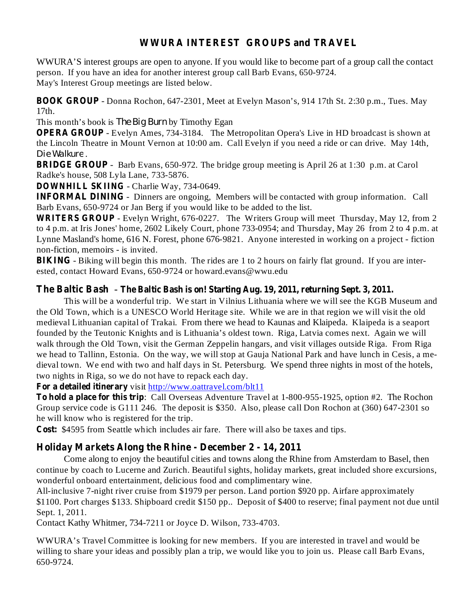### **WWURA INTEREST GROUPS and TRAVEL**

WWURA'S interest groups are open to anyone. If you would like to become part of a group call the contact person. If you have an idea for another interest group call Barb Evans, 650-9724. May's Interest Group meetings are listed below.

BOOK GROUP - Donna Rochon, 647-2301, Meet at Evelyn Mason's, 914 17th St. 2:30 p.m., Tues. May 17th.

This month's book is *The Big Burn* by Timothy Egan

**OPERA GROUP** - Evelyn Ames, 734-3184. The Metropolitan Opera's Live in HD broadcast is shown at the Lincoln Theatre in Mount Vernon at 10:00 am. Call Evelyn if you need a ride or can drive. May 14th, . *Die Walkure*

**BRIDGE GROUP** - Barb Evans, 650-972. The bridge group meeting is April 26 at 1:30 p.m. at Carol Radke's house, 508 Lyla Lane, 733-5876.

**DOWNHILL SKIING** - Charlie Way, 734-0649.

**INFORMAL DINING** - Dinners are ongoing, Members will be contacted with group information. Call Barb Evans, 650-9724 or Jan Berg if you would like to be added to the list.

WRITERS GROUP - Evelyn Wright, 676-0227. The Writers Group will meet Thursday, May 12, from 2 to 4 p.m. at Iris Jones' home, 2602 Likely Court, phone 733-0954; and Thursday, May 26 from 2 to 4 p.m. at Lynne Masland's home, 616 N. Forest, phone 676-9821. Anyone interested in working on a project - fiction non-fiction, memoirs - is invited.

BIKING - Biking will begin this month. The rides are 1 to 2 hours on fairly flat ground. If you are interested, contact Howard Evans, 650-9724 or howard.evans@wwu.edu

### - **The Baltic Bash The Baltic Bash is on! Starting Aug. 19, 2011, returning Sept. 3, 2011.**

This will be a wonderful trip. We start in Vilnius Lithuania where we will see the KGB Museum and the Old Town, which is a UNESCO World Heritage site. While we are in that region we will visit the old medieval Lithuanian capital of Trakai. From there we head to Kaunas and Klaipeda. Klaipeda is a seaport founded by the Teutonic Knights and is Lithuania's oldest town. Riga, Latvia comes next. Again we will walk through the Old Town, visit the German Zeppelin hangars, and visit villages outside Riga. From Riga we head to Tallinn, Estonia. On the way, we will stop at Gauja National Park and have lunch in Cesis, a medieval town. We end with two and half days in St. Petersburg. We spend three nights in most of the hotels, two nights in Riga, so we do not have to repack each day.

**For a detailed itinerary** visit http://www.oattravel.com/blt11

: Call Overseas Adventure Travel at 1-800-955-1925, option #2. The Rochon **To hold a place for this trip** Group service code is G111 246. The deposit is \$350. Also, please call Don Rochon at (360) 647-2301 so he will know who is registered for the trip.

Cost: \$4595 from Seattle which includes air fare. There will also be taxes and tips.

### **Holiday Markets Along the Rhine - December 2 - 14, 2011**

Come along to enjoy the beautiful cities and towns along the Rhine from Amsterdam to Basel, then continue by coach to Lucerne and Zurich. Beautiful sights, holiday markets, great included shore excursions, wonderful onboard entertainment, delicious food and complimentary wine.

All-inclusive 7-night river cruise from \$1979 per person. Land portion \$920 pp. Airfare approximately \$1100. Port charges \$133. Shipboard credit \$150 pp.. Deposit of \$400 to reserve; final payment not due until Sept. 1, 2011.

Contact Kathy Whitmer, 734-7211 or Joyce D. Wilson, 733-4703.

WWURA's Travel Committee is looking for new members. If you are interested in travel and would be willing to share your ideas and possibly plan a trip, we would like you to join us. Please call Barb Evans, 650-9724.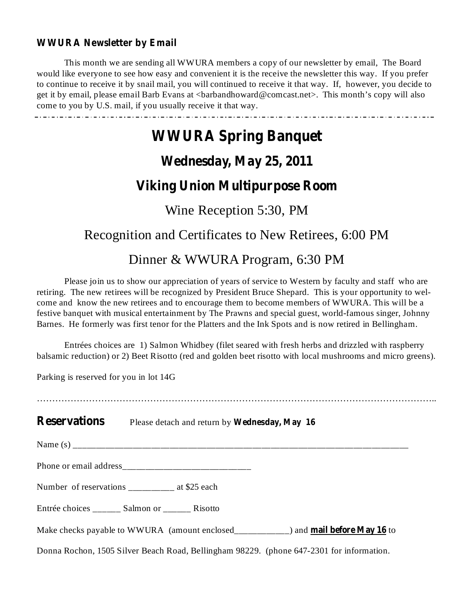### **WWURA Newsletter by Email**

This month we are sending all WWURA members a copy of our newsletter by email, The Board would like everyone to see how easy and convenient it is the receive the newsletter this way. If you prefer to continue to receive it by snail mail, you will continued to receive it that way. If, however, you decide to get it by email, please email Barb Evans at <br/>barbandhoward@comcast.net>. This month's copy will also come to you by U.S. mail, if you usually receive it that way.

# **WWURA Spring Banquet**

# **Wednesday, May 25, 2011**

# **Viking Union Multipurpose Room**

# Wine Reception 5:30, PM

# Recognition and Certificates to New Retirees, 6:00 PM

# Dinner & WWURA Program, 6:30 PM

Please join us to show our appreciation of years of service to Western by faculty and staff who are retiring. The new retirees will be recognized by President Bruce Shepard. This is your opportunity to welcome and know the new retirees and to encourage them to become members of WWURA. This will be a festive banquet with musical entertainment by The Prawns and special guest, world-famous singer, Johnny Barnes. He formerly was first tenor for the Platters and the Ink Spots and is now retired in Bellingham.

Entrées choices are 1) Salmon Whidbey (filet seared with fresh herbs and drizzled with raspberry balsamic reduction) or 2) Beet Risotto (red and golden beet risotto with local mushrooms and micro greens).

Parking is reserved for you in lot 14G

…………………………………………………………………………………………………………………..

**Reservations** Please detach and return by Wednesday, May 16

Name (s) \_\_\_\_\_\_\_\_\_\_\_\_\_\_\_\_\_\_\_\_\_\_\_\_\_\_\_\_\_\_\_\_\_\_\_\_\_\_\_\_\_\_\_\_\_\_\_\_\_\_\_\_\_\_\_\_\_\_\_\_\_\_\_\_\_\_\_\_\_\_\_\_\_

Phone or email address\_\_\_\_\_\_\_\_\_\_\_\_\_\_\_\_\_\_\_\_\_\_\_\_\_\_\_\_

Number of reservations \_\_\_\_\_\_\_\_\_ at \$25 each

Entrée choices \_\_\_\_\_\_ Salmon or \_\_\_\_\_\_ Risotto

Make checks payable to WWURA (amount enclosed\_\_\_\_\_\_\_\_\_\_\_) and **mail before May 16** to

Donna Rochon, 1505 Silver Beach Road, Bellingham 98229. (phone 647-2301 for information.